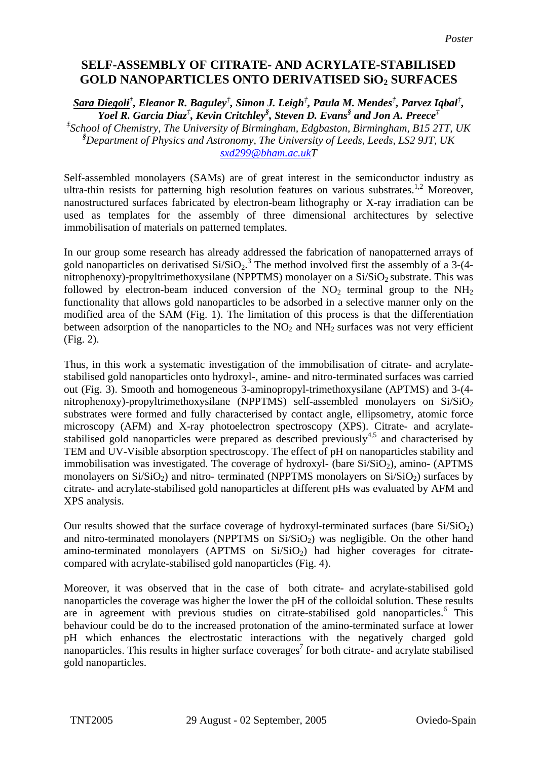## **SELF-ASSEMBLY OF CITRATE- AND ACRYLATE-STABILISED**  GOLD NANOPARTICLES ONTO DERIVATISED SiO<sub>2</sub> SURFACES

*Sara Diegoli‡ , Eleanor R. Baguley‡ , Simon J. Leigh‡ , Paula M. Mendes‡ , Parvez Iqbal‡ , Yoel R. Garcia Diaz‡ , Kevin Critchley§ , Steven D. Evans§ and Jon A. Preece‡ ‡ School of Chemistry, The University of Birmingham, Edgbaston, Birmingham, B15 2TT, UK § Department of Physics and Astronomy, The University of Leeds, Leeds, LS2 9JT, UK [sxd299@bham.ac.ukT](mailto:sxd299@bham.ac.uk)*

Self-assembled monolayers (SAMs) are of great interest in the semiconductor industry as ultra-thin resists for patterning high resolution features on various substrates.<sup>1,2</sup> Moreover, nanostructured surfaces fabricated by electron-beam lithography or X-ray irradiation can be used as templates for the assembly of three dimensional architectures by selective immobilisation of materials on patterned templates.

In our group some research has already addressed the fabrication of nanopatterned arrays of gold nanoparticles on derivatised  $Si/SiO<sub>2</sub>$ .<sup>3</sup> The method involved first the assembly of a 3-(4nitrophenoxy)-propyltrimethoxysilane (NPPTMS) monolayer on a  $Si/SiO<sub>2</sub>$  substrate. This was followed by electron-beam induced conversion of the  $NO<sub>2</sub>$  terminal group to the  $NH<sub>2</sub>$ functionality that allows gold nanoparticles to be adsorbed in a selective manner only on the modified area of the SAM (Fig. 1). The limitation of this process is that the differentiation between adsorption of the nanoparticles to the  $NO<sub>2</sub>$  and  $NH<sub>2</sub>$  surfaces was not very efficient (Fig. 2).

Thus, in this work a systematic investigation of the immobilisation of citrate- and acrylatestabilised gold nanoparticles onto hydroxyl-, amine- and nitro-terminated surfaces was carried out (Fig. 3). Smooth and homogeneous 3-aminopropyl-trimethoxysilane (APTMS) and 3-(4 nitrophenoxy)-propyltrimethoxysilane (NPPTMS) self-assembled monolayers on  $Si/SiO<sub>2</sub>$ substrates were formed and fully characterised by contact angle, ellipsometry, atomic force microscopy (AFM) and X-ray photoelectron spectroscopy (XPS). Citrate- and acrylatestabilised gold nanoparticles were prepared as described previously<sup>4,5</sup> and characterised by TEM and UV-Visible absorption spectroscopy. The effect of pH on nanoparticles stability and immobilisation was investigated. The coverage of hydroxyl- (bare  $Si/SiO<sub>2</sub>$ ), amino- (APTMS monolayers on  $Si/SiO_2$ ) and nitro- terminated (NPPTMS monolayers on  $Si/SiO_2$ ) surfaces by citrate- and acrylate-stabilised gold nanoparticles at different pHs was evaluated by AFM and XPS analysis.

Our results showed that the surface coverage of hydroxyl-terminated surfaces (bare  $Si/SiO<sub>2</sub>$ ) and nitro-terminated monolayers (NPPTMS on  $Si/SiO<sub>2</sub>$ ) was negligible. On the other hand amino-terminated monolayers (APTMS on  $Si/SiO<sub>2</sub>$ ) had higher coverages for citratecompared with acrylate-stabilised gold nanoparticles (Fig. 4).

Moreover, it was observed that in the case of both citrate- and acrylate-stabilised gold nanoparticles the coverage was higher the lower the pH of the colloidal solution. These results are in agreement with previous studies on citrate-stabilised gold nanoparticles.<sup>6</sup> This behaviour could be do to the increased protonation of the amino-terminated surface at lower pH which enhances the electrostatic interactions with the negatively charged gold nanoparticles. This results in higher surface coverages<sup>7</sup> for both citrate- and acrylate stabilised gold nanoparticles.